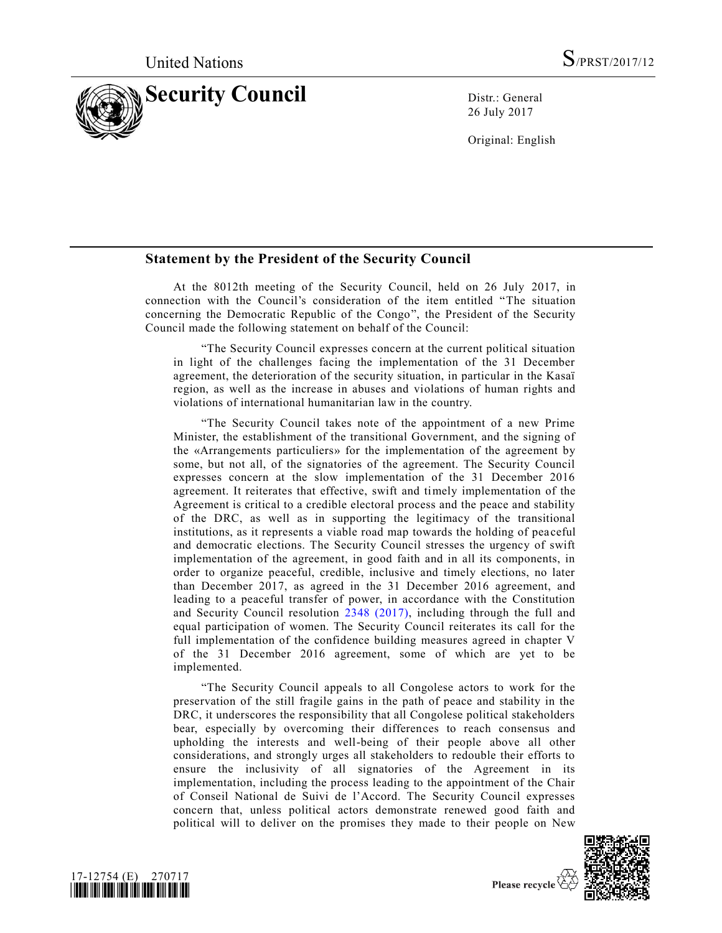

26 July 2017

Original: English

## **Statement by the President of the Security Council**

At the 8012th meeting of the Security Council, held on 26 July 2017, in connection with the Council's consideration of the item entitled "The situation concerning the Democratic Republic of the Congo", the President of the Security Council made the following statement on behalf of the Council:

"The Security Council expresses concern at the current political situation in light of the challenges facing the implementation of the 31 December agreement, the deterioration of the security situation, in particular in the Kasaï region, as well as the increase in abuses and violations of human rights and violations of international humanitarian law in the country.

"The Security Council takes note of the appointment of a new Prime Minister, the establishment of the transitional Government, and the signing of the «Arrangements particuliers» for the implementation of the agreement by some, but not all, of the signatories of the agreement. The Security Council expresses concern at the slow implementation of the 31 December 2016 agreement. It reiterates that effective, swift and timely implementation of the Agreement is critical to a credible electoral process and the peace and stability of the DRC, as well as in supporting the legitimacy of the transitional institutions, as it represents a viable road map towards the holding of pea ceful and democratic elections. The Security Council stresses the urgency of swift implementation of the agreement, in good faith and in all its components, in order to organize peaceful, credible, inclusive and timely elections, no later than December 2017, as agreed in the 31 December 2016 agreement, and leading to a peaceful transfer of power, in accordance with the Constitution and Security Council resolution [2348 \(2017\),](https://undocs.org/S/RES/2348(2017)) including through the full and equal participation of women. The Security Council reiterates its call for the full implementation of the confidence building measures agreed in chapter V of the 31 December 2016 agreement, some of which are yet to be implemented.

"The Security Council appeals to all Congolese actors to work for the preservation of the still fragile gains in the path of peace and stability in the DRC, it underscores the responsibility that all Congolese political stakeholders bear, especially by overcoming their differences to reach consensus and upholding the interests and well-being of their people above all other considerations, and strongly urges all stakeholders to redouble their efforts to ensure the inclusivity of all signatories of the Agreement in its implementation, including the process leading to the appointment of the Chair of Conseil National de Suivi de l'Accord. The Security Council expresses concern that, unless political actors demonstrate renewed good faith and political will to deliver on the promises they made to their people on New





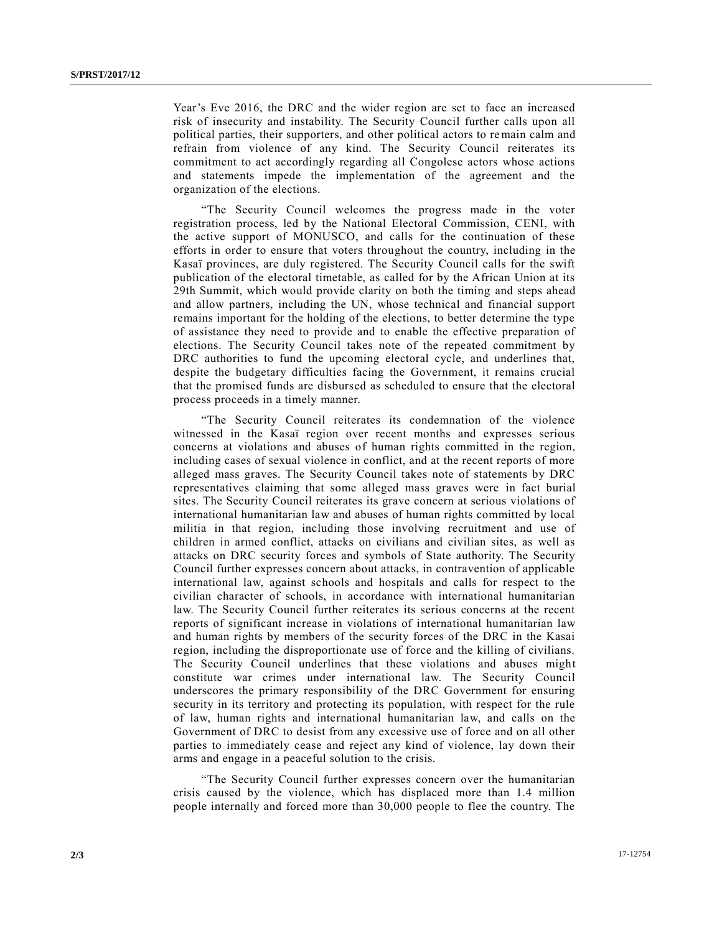Year's Eve 2016, the DRC and the wider region are set to face an increased risk of insecurity and instability. The Security Council further calls upon all political parties, their supporters, and other political actors to remain calm and refrain from violence of any kind. The Security Council reiterates its commitment to act accordingly regarding all Congolese actors whose actions and statements impede the implementation of the agreement and the organization of the elections.

"The Security Council welcomes the progress made in the voter registration process, led by the National Electoral Commission, CENI, with the active support of MONUSCO, and calls for the continuation of these efforts in order to ensure that voters throughout the country, including in the Kasaï provinces, are duly registered. The Security Council calls for the swift publication of the electoral timetable, as called for by the African Union at its 29th Summit, which would provide clarity on both the timing and steps ahead and allow partners, including the UN, whose technical and financial support remains important for the holding of the elections, to better determine the type of assistance they need to provide and to enable the effective preparation of elections. The Security Council takes note of the repeated commitment by DRC authorities to fund the upcoming electoral cycle, and underlines that, despite the budgetary difficulties facing the Government, it remains crucial that the promised funds are disbursed as scheduled to ensure that the electoral process proceeds in a timely manner.

"The Security Council reiterates its condemnation of the violence witnessed in the Kasaï region over recent months and expresses serious concerns at violations and abuses of human rights committed in the region, including cases of sexual violence in conflict, and at the recent reports of more alleged mass graves. The Security Council takes note of statements by DRC representatives claiming that some alleged mass graves were in fact burial sites. The Security Council reiterates its grave concern at serious violations of international humanitarian law and abuses of human rights committed by local militia in that region, including those involving recruitment and use of children in armed conflict, attacks on civilians and civilian sites, as well as attacks on DRC security forces and symbols of State authority. The Security Council further expresses concern about attacks, in contravention of applicable international law, against schools and hospitals and calls for respect to the civilian character of schools, in accordance with international humanitarian law. The Security Council further reiterates its serious concerns at the recent reports of significant increase in violations of international humanitarian law and human rights by members of the security forces of the DRC in the Kasai region, including the disproportionate use of force and the killing of civilians. The Security Council underlines that these violations and abuses might constitute war crimes under international law. The Security Council underscores the primary responsibility of the DRC Government for ensuring security in its territory and protecting its population, with respect for the rule of law, human rights and international humanitarian law, and calls on the Government of DRC to desist from any excessive use of force and on all other parties to immediately cease and reject any kind of violence, lay down their arms and engage in a peaceful solution to the crisis.

"The Security Council further expresses concern over the humanitarian crisis caused by the violence, which has displaced more than 1.4 million people internally and forced more than 30,000 people to flee the country. The